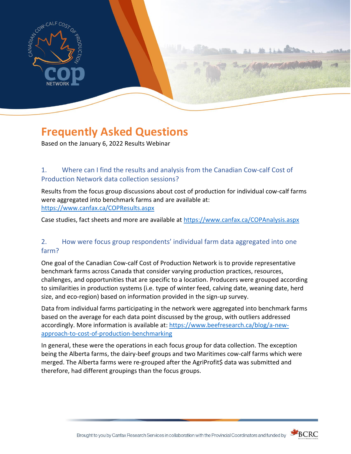

# **Frequently Asked Questions**

Based on the January 6, 2022 Results Webinar

# 1. Where can I find the results and analysis from the Canadian Cow-calf Cost of Production Network data collection sessions?

Results from the focus group discussions about cost of production for individual cow-calf farms were aggregated into benchmark farms and are available at: <https://www.canfax.ca/COPResults.aspx>

Case studies, fact sheets and more are available at<https://www.canfax.ca/COPAnalysis.aspx>

## 2. How were focus group respondents' individual farm data aggregated into one farm?

One goal of the Canadian Cow-calf Cost of Production Network is to provide representative benchmark farms across Canada that consider varying production practices, resources, challenges, and opportunities that are specific to a location. Producers were grouped according to similarities in production systems (i.e. type of winter feed, calving date, weaning date, herd size, and eco-region) based on information provided in the sign-up survey.

Data from individual farms participating in the network were aggregated into benchmark farms based on the average for each data point discussed by the group, with outliers addressed accordingly. More information is available at: [https://www.beefresearch.ca/blog/a-new](https://www.beefresearch.ca/blog/a-new-approach-to-cost-of-production-benchmarking)[approach-to-cost-of-production-benchmarking](https://www.beefresearch.ca/blog/a-new-approach-to-cost-of-production-benchmarking)

In general, these were the operations in each focus group for data collection. The exception being the Alberta farms, the dairy-beef groups and two Maritimes cow-calf farms which were merged. The Alberta farms were re-grouped after the AgriProfit\$ data was submitted and therefore, had different groupings than the focus groups.



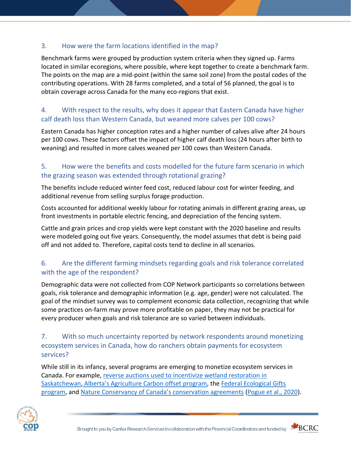## 3. How were the farm locations identified in the map?

Benchmark farms were grouped by production system criteria when they signed up. Farms located in similar ecoregions, where possible, where kept together to create a benchmark farm. The points on the map are a mid-point (within the same soil zone) from the postal codes of the contributing operations. With 28 farms completed, and a total of 56 planned, the goal is to obtain coverage across Canada for the many eco-regions that exist.

# 4. With respect to the results, why does it appear that Eastern Canada have higher calf death loss than Western Canada, but weaned more calves per 100 cows?

Eastern Canada has higher conception rates and a higher number of calves alive after 24 hours per 100 cows. These factors offset the impact of higher calf death loss (24 hours after birth to weaning) and resulted in more calves weaned per 100 cows than Western Canada.

#### 5. How were the benefits and costs modelled for the future farm scenario in which the grazing season was extended through rotational grazing?

The benefits include reduced winter feed cost, reduced labour cost for winter feeding, and additional revenue from selling surplus forage production.

Costs accounted for additional weekly labour for rotating animals in different grazing areas, up front investments in portable electric fencing, and depreciation of the fencing system.

Cattle and grain prices and crop yields were kept constant with the 2020 baseline and results were modeled going out five years. Consequently, the model assumes that debt is being paid off and not added to. Therefore, capital costs tend to decline in all scenarios.

# 6. Are the different farming mindsets regarding goals and risk tolerance correlated with the age of the respondent?

Demographic data were not collected from COP Network participants so correlations between goals, risk tolerance and demographic information (e.g. age, gender) were not calculated. The goal of the mindset survey was to complement economic data collection, recognizing that while some practices on-farm may prove more profitable on paper, they may not be practical for every producer when goals and risk tolerance are so varied between individuals.

# 7. With so much uncertainty reported by network respondents around monetizing ecosystem services in Canada, how do ranchers obtain payments for ecosystem services?

While still in its infancy, several programs are emerging to monetize ecosystem services in Canada. For example, [reverse auctions used to incentivize wetland restoration](https://www.assiniboinewatershed.com/what-we-re-doing/wetland-restoration) in [Saskatchewan,](https://www.assiniboinewatershed.com/what-we-re-doing/wetland-restoration) [Alberta's Agriculture Carbon](https://www.alberta.ca/agricultural-carbon-offsets.aspx) offset program, the [Federal Ecological Gifts](https://www.canada.ca/en/environment-climate-change/services/environmental-funding/ecological-gifts-program/overview.html)  [program,](https://www.canada.ca/en/environment-climate-change/services/environmental-funding/ecological-gifts-program/overview.html) and Natu[re Conservancy of Canada's conservation agreements](https://www.natureconservancy.ca/en/what-you-can-do/other-ways-to-help/give-land/conservation-agreement.html#:~:text=A%20conservation%20agreement%20is%20a,the%20species%20that%20live%20there.) [\(Pogue et al.,](https://www.sciencedirect.com/science/article/pii/S2212041620301145) 2020).